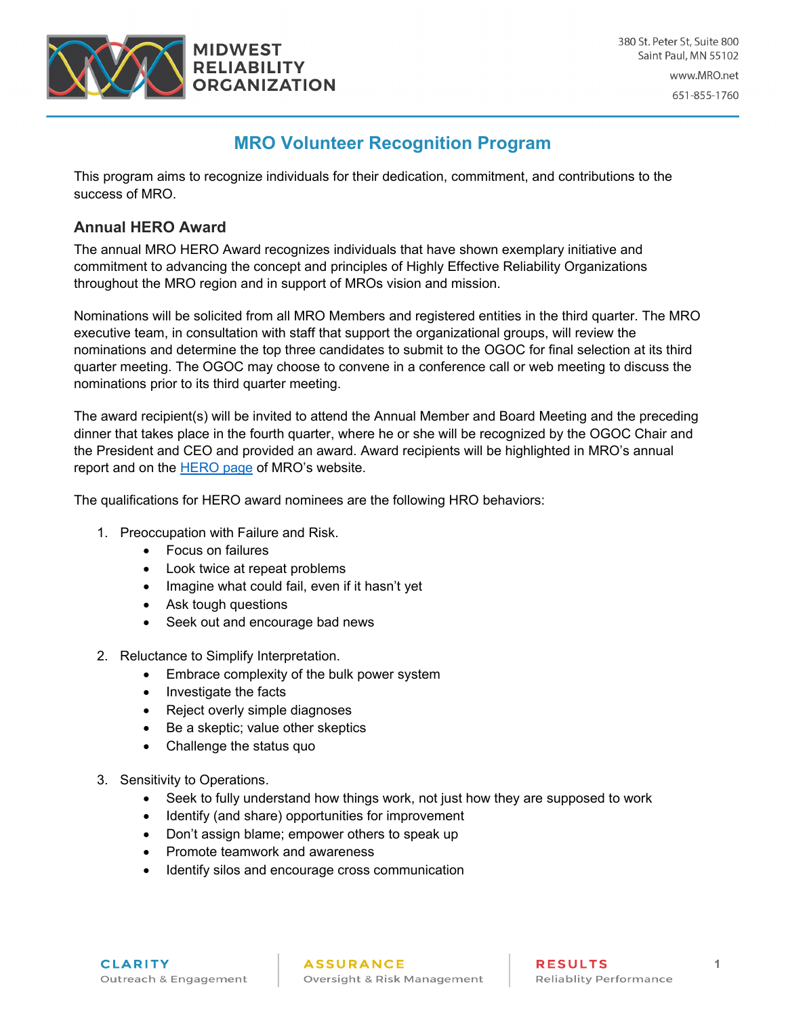

## **MRO Volunteer Recognition Program**

This program aims to recognize individuals for their dedication, commitment, and contributions to the success of MRO.

## **Annual HERO Award**

The annual MRO HERO Award recognizes individuals that have shown exemplary initiative and commitment to advancing the concept and principles of Highly Effective Reliability Organizations throughout the MRO region and in support of MROs vision and mission.

Nominations will be solicited from all MRO Members and registered entities in the third quarter. The MRO executive team, in consultation with staff that support the organizational groups, will review the nominations and determine the top three candidates to submit to the OGOC for final selection at its third quarter meeting. The OGOC may choose to convene in a conference call or web meeting to discuss the nominations prior to its third quarter meeting.

The award recipient(s) will be invited to attend the Annual Member and Board Meeting and the preceding dinner that takes place in the fourth quarter, where he or she will be recognized by the OGOC Chair and the President and CEO and provided an award. Award recipients will be highlighted in MRO's annual report and on the [HERO page](https://www.mro.net/clarity/heros/Pages/default.aspx) of MRO's website.

The qualifications for HERO award nominees are the following HRO behaviors:

- 1. Preoccupation with Failure and Risk.
	- Focus on failures
	- Look twice at repeat problems
	- Imagine what could fail, even if it hasn't yet
	- Ask tough questions
	- Seek out and encourage bad news
- 2. Reluctance to Simplify Interpretation.
	- Embrace complexity of the bulk power system
	- Investigate the facts
	- Reject overly simple diagnoses
	- Be a skeptic; value other skeptics
	- Challenge the status quo
- 3. Sensitivity to Operations.
	- Seek to fully understand how things work, not just how they are supposed to work
	- Identify (and share) opportunities for improvement
	- Don't assign blame; empower others to speak up
	- Promote teamwork and awareness
	- Identify silos and encourage cross communication